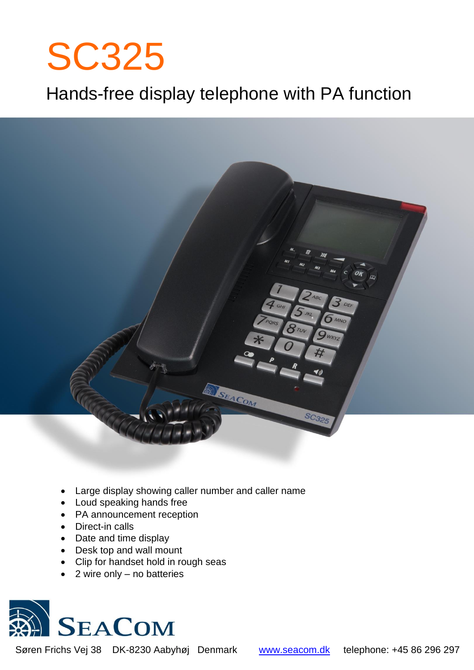# SC325

# Hands-free display telephone with PA function



- Large display showing caller number and caller name
- Loud speaking hands free
- PA announcement reception
- Direct-in calls
- Date and time display
- Desk top and wall mount
- Clip for handset hold in rough seas
- 2 wire only no batteries



Søren Frichs Vej 38 DK-8230 Aabyhøj Denmark [www.seacom.dk](http://www.seacom.dk/) telephone: +45 86 296 297